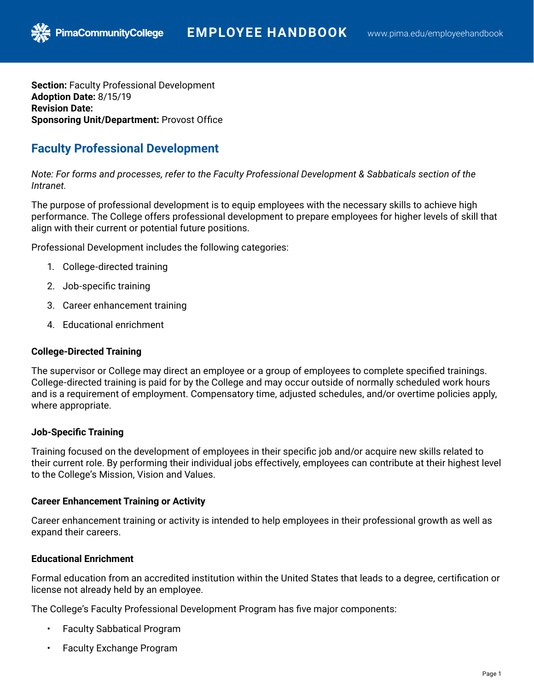**Section:** Faculty Professional Development **Adoption Date:** 8/15/19 **Revision Date: Sponsoring Unit/Department:** Provost Office

**PimaCommunityCollege** 

# **Faculty Professional Development**

*Note: For forms and processes, refer to the Faculty Professional Development & Sabbaticals section of the Intranet.*

The purpose of professional development is to equip employees with the necessary skills to achieve high performance. The College offers professional development to prepare employees for higher levels of skill that align with their current or potential future positions.

Professional Development includes the following categories:

- 1. College-directed training
- 2. Job-specific training
- 3. Career enhancement training
- 4. Educational enrichment

# **College-Directed Training**

The supervisor or College may direct an employee or a group of employees to complete specified trainings. College-directed training is paid for by the College and may occur outside of normally scheduled work hours and is a requirement of employment. Compensatory time, adjusted schedules, and/or overtime policies apply, where appropriate.

# **Job-Specific Training**

Training focused on the development of employees in their specific job and/or acquire new skills related to their current role. By performing their individual jobs effectively, employees can contribute at their highest level to the College's Mission, Vision and Values.

# **Career Enhancement Training or Activity**

Career enhancement training or activity is intended to help employees in their professional growth as well as expand their careers.

# **Educational Enrichment**

Formal education from an accredited institution within the United States that leads to a degree, certification or license not already held by an employee.

The College's Faculty Professional Development Program has five major components:

- Faculty Sabbatical Program
- Faculty Exchange Program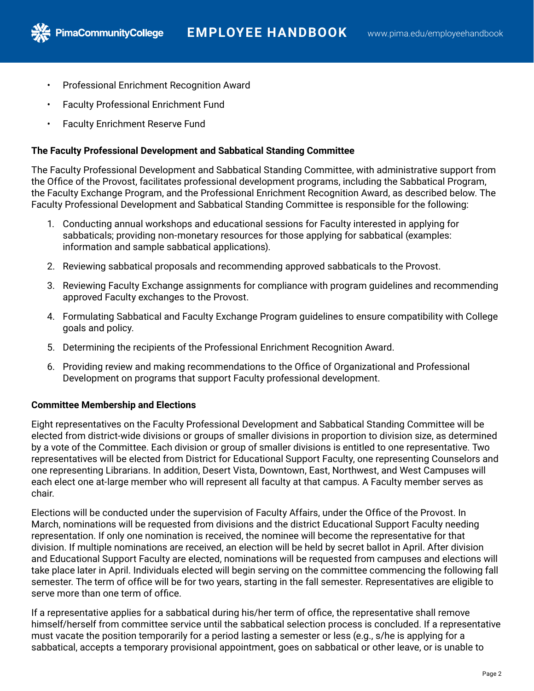- Professional Enrichment Recognition Award
- Faculty Professional Enrichment Fund
- Faculty Enrichment Reserve Fund

PimaCommunityCollege

# **The Faculty Professional Development and Sabbatical Standing Committee**

The Faculty Professional Development and Sabbatical Standing Committee, with administrative support from the Office of the Provost, facilitates professional development programs, including the Sabbatical Program, the Faculty Exchange Program, and the Professional Enrichment Recognition Award, as described below. The Faculty Professional Development and Sabbatical Standing Committee is responsible for the following:

- 1. Conducting annual workshops and educational sessions for Faculty interested in applying for sabbaticals; providing non-monetary resources for those applying for sabbatical (examples: information and sample sabbatical applications).
- 2. Reviewing sabbatical proposals and recommending approved sabbaticals to the Provost.
- 3. Reviewing Faculty Exchange assignments for compliance with program guidelines and recommending approved Faculty exchanges to the Provost.
- 4. Formulating Sabbatical and Faculty Exchange Program guidelines to ensure compatibility with College goals and policy.
- 5. Determining the recipients of the Professional Enrichment Recognition Award.
- 6. Providing review and making recommendations to the Office of Organizational and Professional Development on programs that support Faculty professional development.

# **Committee Membership and Elections**

Eight representatives on the Faculty Professional Development and Sabbatical Standing Committee will be elected from district-wide divisions or groups of smaller divisions in proportion to division size, as determined by a vote of the Committee. Each division or group of smaller divisions is entitled to one representative. Two representatives will be elected from District for Educational Support Faculty, one representing Counselors and one representing Librarians. In addition, Desert Vista, Downtown, East, Northwest, and West Campuses will each elect one at-large member who will represent all faculty at that campus. A Faculty member serves as chair.

Elections will be conducted under the supervision of Faculty Affairs, under the Office of the Provost. In March, nominations will be requested from divisions and the district Educational Support Faculty needing representation. If only one nomination is received, the nominee will become the representative for that division. If multiple nominations are received, an election will be held by secret ballot in April. After division and Educational Support Faculty are elected, nominations will be requested from campuses and elections will take place later in April. Individuals elected will begin serving on the committee commencing the following fall semester. The term of office will be for two years, starting in the fall semester. Representatives are eligible to serve more than one term of office.

If a representative applies for a sabbatical during his/her term of office, the representative shall remove himself/herself from committee service until the sabbatical selection process is concluded. If a representative must vacate the position temporarily for a period lasting a semester or less (e.g., s/he is applying for a sabbatical, accepts a temporary provisional appointment, goes on sabbatical or other leave, or is unable to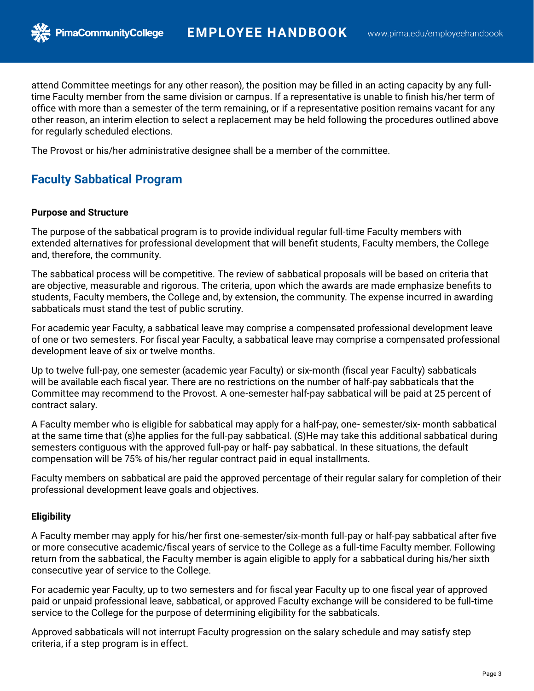attend Committee meetings for any other reason), the position may be filled in an acting capacity by any fulltime Faculty member from the same division or campus. If a representative is unable to finish his/her term of office with more than a semester of the term remaining, or if a representative position remains vacant for any other reason, an interim election to select a replacement may be held following the procedures outlined above for regularly scheduled elections.

The Provost or his/her administrative designee shall be a member of the committee.

# **Faculty Sabbatical Program**

#### **Purpose and Structure**

The purpose of the sabbatical program is to provide individual regular full-time Faculty members with extended alternatives for professional development that will benefit students, Faculty members, the College and, therefore, the community.

The sabbatical process will be competitive. The review of sabbatical proposals will be based on criteria that are objective, measurable and rigorous. The criteria, upon which the awards are made emphasize benefits to students, Faculty members, the College and, by extension, the community. The expense incurred in awarding sabbaticals must stand the test of public scrutiny.

For academic year Faculty, a sabbatical leave may comprise a compensated professional development leave of one or two semesters. For fiscal year Faculty, a sabbatical leave may comprise a compensated professional development leave of six or twelve months.

Up to twelve full-pay, one semester (academic year Faculty) or six-month (fiscal year Faculty) sabbaticals will be available each fiscal year. There are no restrictions on the number of half-pay sabbaticals that the Committee may recommend to the Provost. A one-semester half-pay sabbatical will be paid at 25 percent of contract salary.

A Faculty member who is eligible for sabbatical may apply for a half-pay, one- semester/six- month sabbatical at the same time that (s)he applies for the full-pay sabbatical. (S)He may take this additional sabbatical during semesters contiguous with the approved full-pay or half- pay sabbatical. In these situations, the default compensation will be 75% of his/her regular contract paid in equal installments.

Faculty members on sabbatical are paid the approved percentage of their regular salary for completion of their professional development leave goals and objectives.

### **Eligibility**

A Faculty member may apply for his/her first one-semester/six-month full-pay or half-pay sabbatical after five or more consecutive academic/fiscal years of service to the College as a full-time Faculty member. Following return from the sabbatical, the Faculty member is again eligible to apply for a sabbatical during his/her sixth consecutive year of service to the College.

For academic year Faculty, up to two semesters and for fiscal year Faculty up to one fiscal year of approved paid or unpaid professional leave, sabbatical, or approved Faculty exchange will be considered to be full-time service to the College for the purpose of determining eligibility for the sabbaticals.

Approved sabbaticals will not interrupt Faculty progression on the salary schedule and may satisfy step criteria, if a step program is in effect.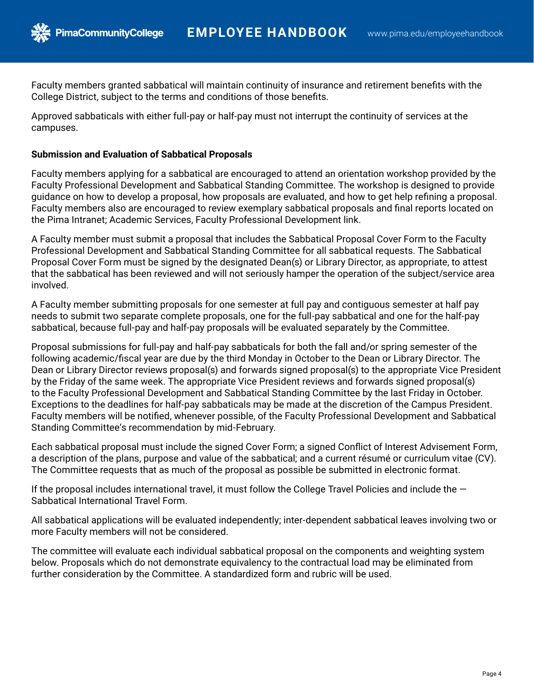Faculty members granted sabbatical will maintain continuity of insurance and retirement benefits with the College District, subject to the terms and conditions of those benefits.

Approved sabbaticals with either full-pay or half-pay must not interrupt the continuity of services at the campuses.

### **Submission and Evaluation of Sabbatical Proposals**

**PimaCommunityCollege** 

Faculty members applying for a sabbatical are encouraged to attend an orientation workshop provided by the Faculty Professional Development and Sabbatical Standing Committee. The workshop is designed to provide guidance on how to develop a proposal, how proposals are evaluated, and how to get help refining a proposal. Faculty members also are encouraged to review exemplary sabbatical proposals and final reports located on the Pima Intranet; Academic Services, Faculty Professional Development link.

A Faculty member must submit a proposal that includes the Sabbatical Proposal Cover Form to the Faculty Professional Development and Sabbatical Standing Committee for all sabbatical requests. The Sabbatical Proposal Cover Form must be signed by the designated Dean(s) or Library Director, as appropriate, to attest that the sabbatical has been reviewed and will not seriously hamper the operation of the subject/service area involved.

A Faculty member submitting proposals for one semester at full pay and contiguous semester at half pay needs to submit two separate complete proposals, one for the full-pay sabbatical and one for the half-pay sabbatical, because full-pay and half-pay proposals will be evaluated separately by the Committee.

Proposal submissions for full-pay and half-pay sabbaticals for both the fall and/or spring semester of the following academic/fiscal year are due by the third Monday in October to the Dean or Library Director. The Dean or Library Director reviews proposal(s) and forwards signed proposal(s) to the appropriate Vice President by the Friday of the same week. The appropriate Vice President reviews and forwards signed proposal(s) to the Faculty Professional Development and Sabbatical Standing Committee by the last Friday in October. Exceptions to the deadlines for half-pay sabbaticals may be made at the discretion of the Campus President. Faculty members will be notified, whenever possible, of the Faculty Professional Development and Sabbatical Standing Committee's recommendation by mid-February.

Each sabbatical proposal must include the signed Cover Form; a signed Conflict of Interest Advisement Form, a description of the plans, purpose and value of the sabbatical; and a current résumé or curriculum vitae (CV). The Committee requests that as much of the proposal as possible be submitted in electronic format.

If the proposal includes international travel, it must follow the College Travel Policies and include the  $-$ Sabbatical International Travel Form.

All sabbatical applications will be evaluated independently; inter-dependent sabbatical leaves involving two or more Faculty members will not be considered.

The committee will evaluate each individual sabbatical proposal on the components and weighting system below. Proposals which do not demonstrate equivalency to the contractual load may be eliminated from further consideration by the Committee. A standardized form and rubric will be used.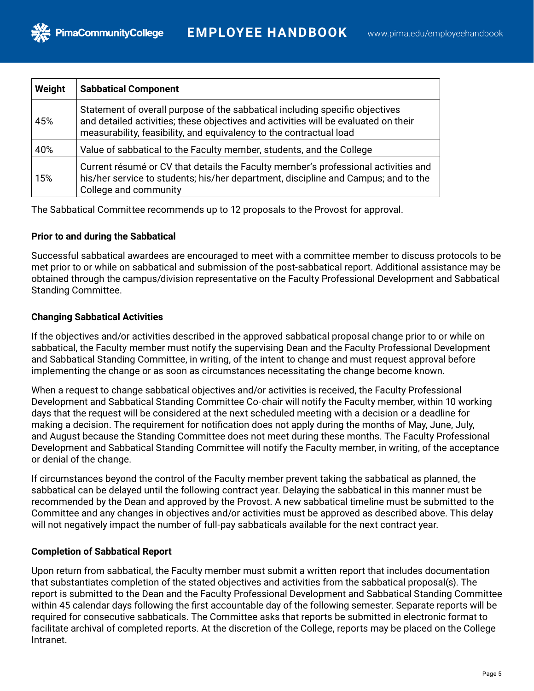| Weight | <b>Sabbatical Component</b>                                                                                                                                                                                                                |
|--------|--------------------------------------------------------------------------------------------------------------------------------------------------------------------------------------------------------------------------------------------|
| 45%    | Statement of overall purpose of the sabbatical including specific objectives<br>and detailed activities; these objectives and activities will be evaluated on their<br>measurability, feasibility, and equivalency to the contractual load |
| 40%    | Value of sabbatical to the Faculty member, students, and the College                                                                                                                                                                       |
| 15%    | Current résumé or CV that details the Faculty member's professional activities and<br>his/her service to students; his/her department, discipline and Campus; and to the<br>College and community                                          |

The Sabbatical Committee recommends up to 12 proposals to the Provost for approval.

## **Prior to and during the Sabbatical**

**PimaCommunityCollege** 

Successful sabbatical awardees are encouraged to meet with a committee member to discuss protocols to be met prior to or while on sabbatical and submission of the post-sabbatical report. Additional assistance may be obtained through the campus/division representative on the Faculty Professional Development and Sabbatical Standing Committee.

## **Changing Sabbatical Activities**

If the objectives and/or activities described in the approved sabbatical proposal change prior to or while on sabbatical, the Faculty member must notify the supervising Dean and the Faculty Professional Development and Sabbatical Standing Committee, in writing, of the intent to change and must request approval before implementing the change or as soon as circumstances necessitating the change become known.

When a request to change sabbatical objectives and/or activities is received, the Faculty Professional Development and Sabbatical Standing Committee Co-chair will notify the Faculty member, within 10 working days that the request will be considered at the next scheduled meeting with a decision or a deadline for making a decision. The requirement for notification does not apply during the months of May, June, July, and August because the Standing Committee does not meet during these months. The Faculty Professional Development and Sabbatical Standing Committee will notify the Faculty member, in writing, of the acceptance or denial of the change.

If circumstances beyond the control of the Faculty member prevent taking the sabbatical as planned, the sabbatical can be delayed until the following contract year. Delaying the sabbatical in this manner must be recommended by the Dean and approved by the Provost. A new sabbatical timeline must be submitted to the Committee and any changes in objectives and/or activities must be approved as described above. This delay will not negatively impact the number of full-pay sabbaticals available for the next contract year.

# **Completion of Sabbatical Report**

Upon return from sabbatical, the Faculty member must submit a written report that includes documentation that substantiates completion of the stated objectives and activities from the sabbatical proposal(s). The report is submitted to the Dean and the Faculty Professional Development and Sabbatical Standing Committee within 45 calendar days following the first accountable day of the following semester. Separate reports will be required for consecutive sabbaticals. The Committee asks that reports be submitted in electronic format to facilitate archival of completed reports. At the discretion of the College, reports may be placed on the College Intranet.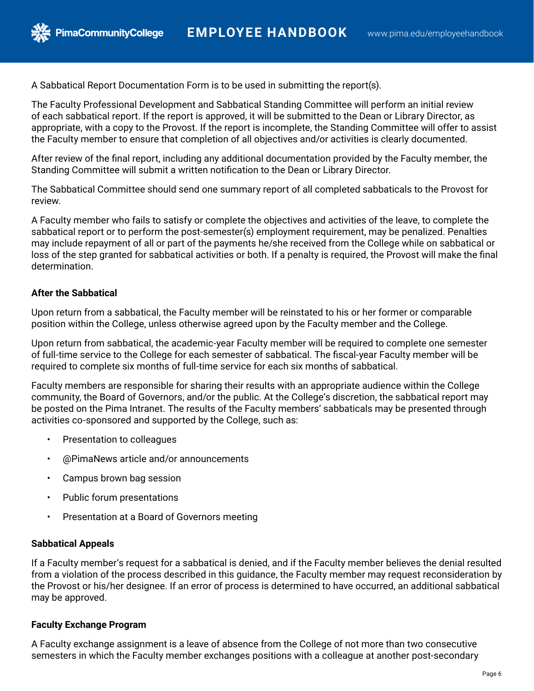A Sabbatical Report Documentation Form is to be used in submitting the report(s).

The Faculty Professional Development and Sabbatical Standing Committee will perform an initial review of each sabbatical report. If the report is approved, it will be submitted to the Dean or Library Director, as appropriate, with a copy to the Provost. If the report is incomplete, the Standing Committee will offer to assist the Faculty member to ensure that completion of all objectives and/or activities is clearly documented.

After review of the final report, including any additional documentation provided by the Faculty member, the Standing Committee will submit a written notification to the Dean or Library Director.

The Sabbatical Committee should send one summary report of all completed sabbaticals to the Provost for review.

A Faculty member who fails to satisfy or complete the objectives and activities of the leave, to complete the sabbatical report or to perform the post-semester(s) employment requirement, may be penalized. Penalties may include repayment of all or part of the payments he/she received from the College while on sabbatical or loss of the step granted for sabbatical activities or both. If a penalty is required, the Provost will make the final determination.

## **After the Sabbatical**

Upon return from a sabbatical, the Faculty member will be reinstated to his or her former or comparable position within the College, unless otherwise agreed upon by the Faculty member and the College.

Upon return from sabbatical, the academic-year Faculty member will be required to complete one semester of full-time service to the College for each semester of sabbatical. The fiscal-year Faculty member will be required to complete six months of full-time service for each six months of sabbatical.

Faculty members are responsible for sharing their results with an appropriate audience within the College community, the Board of Governors, and/or the public. At the College's discretion, the sabbatical report may be posted on the Pima Intranet. The results of the Faculty members' sabbaticals may be presented through activities co-sponsored and supported by the College, such as:

• Presentation to colleagues

**PimaCommunityCollege** 

- @PimaNews article and/or announcements
- Campus brown bag session
- Public forum presentations
- Presentation at a Board of Governors meeting

### **Sabbatical Appeals**

If a Faculty member's request for a sabbatical is denied, and if the Faculty member believes the denial resulted from a violation of the process described in this guidance, the Faculty member may request reconsideration by the Provost or his/her designee. If an error of process is determined to have occurred, an additional sabbatical may be approved.

### **Faculty Exchange Program**

A Faculty exchange assignment is a leave of absence from the College of not more than two consecutive semesters in which the Faculty member exchanges positions with a colleague at another post-secondary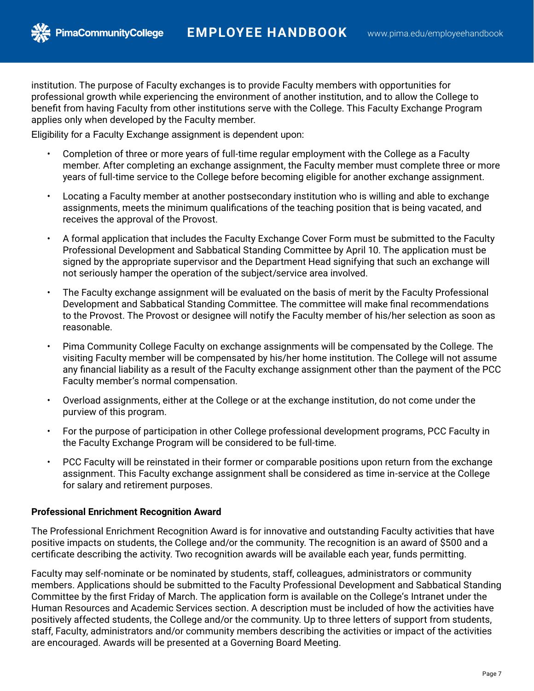

**PimaCommunityCollege** 

institution. The purpose of Faculty exchanges is to provide Faculty members with opportunities for professional growth while experiencing the environment of another institution, and to allow the College to benefit from having Faculty from other institutions serve with the College. This Faculty Exchange Program applies only when developed by the Faculty member.

Eligibility for a Faculty Exchange assignment is dependent upon:

- Completion of three or more years of full-time regular employment with the College as a Faculty member. After completing an exchange assignment, the Faculty member must complete three or more years of full-time service to the College before becoming eligible for another exchange assignment.
- Locating a Faculty member at another postsecondary institution who is willing and able to exchange assignments, meets the minimum qualifications of the teaching position that is being vacated, and receives the approval of the Provost.
- A formal application that includes the Faculty Exchange Cover Form must be submitted to the Faculty Professional Development and Sabbatical Standing Committee by April 10. The application must be signed by the appropriate supervisor and the Department Head signifying that such an exchange will not seriously hamper the operation of the subject/service area involved.
- The Faculty exchange assignment will be evaluated on the basis of merit by the Faculty Professional Development and Sabbatical Standing Committee. The committee will make final recommendations to the Provost. The Provost or designee will notify the Faculty member of his/her selection as soon as reasonable.
- Pima Community College Faculty on exchange assignments will be compensated by the College. The visiting Faculty member will be compensated by his/her home institution. The College will not assume any financial liability as a result of the Faculty exchange assignment other than the payment of the PCC Faculty member's normal compensation.
- Overload assignments, either at the College or at the exchange institution, do not come under the purview of this program.
- For the purpose of participation in other College professional development programs, PCC Faculty in the Faculty Exchange Program will be considered to be full-time.
- PCC Faculty will be reinstated in their former or comparable positions upon return from the exchange assignment. This Faculty exchange assignment shall be considered as time in-service at the College for salary and retirement purposes.

# **Professional Enrichment Recognition Award**

The Professional Enrichment Recognition Award is for innovative and outstanding Faculty activities that have positive impacts on students, the College and/or the community. The recognition is an award of \$500 and a certificate describing the activity. Two recognition awards will be available each year, funds permitting.

Faculty may self-nominate or be nominated by students, staff, colleagues, administrators or community members. Applications should be submitted to the Faculty Professional Development and Sabbatical Standing Committee by the first Friday of March. The application form is available on the College's Intranet under the Human Resources and Academic Services section. A description must be included of how the activities have positively affected students, the College and/or the community. Up to three letters of support from students, staff, Faculty, administrators and/or community members describing the activities or impact of the activities are encouraged. Awards will be presented at a Governing Board Meeting.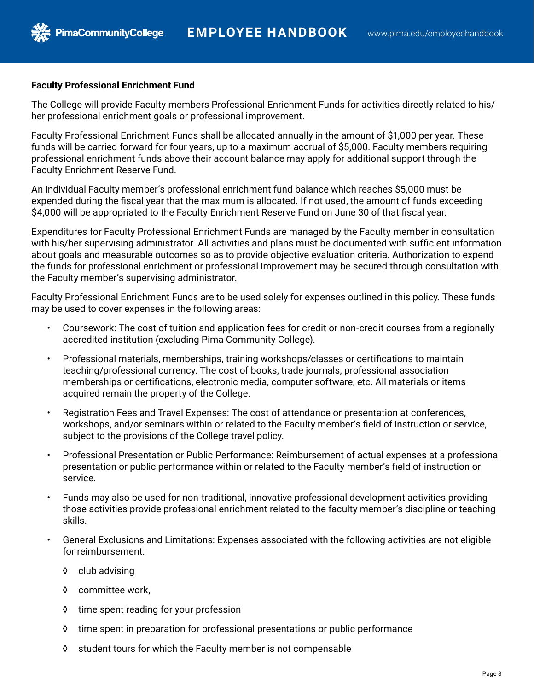### **Faculty Professional Enrichment Fund**

**PimaCommunityCollege** 

The College will provide Faculty members Professional Enrichment Funds for activities directly related to his/ her professional enrichment goals or professional improvement.

Faculty Professional Enrichment Funds shall be allocated annually in the amount of \$1,000 per year. These funds will be carried forward for four years, up to a maximum accrual of \$5,000. Faculty members requiring professional enrichment funds above their account balance may apply for additional support through the Faculty Enrichment Reserve Fund.

An individual Faculty member's professional enrichment fund balance which reaches \$5,000 must be expended during the fiscal year that the maximum is allocated. If not used, the amount of funds exceeding \$4,000 will be appropriated to the Faculty Enrichment Reserve Fund on June 30 of that fiscal year.

Expenditures for Faculty Professional Enrichment Funds are managed by the Faculty member in consultation with his/her supervising administrator. All activities and plans must be documented with sufficient information about goals and measurable outcomes so as to provide objective evaluation criteria. Authorization to expend the funds for professional enrichment or professional improvement may be secured through consultation with the Faculty member's supervising administrator.

Faculty Professional Enrichment Funds are to be used solely for expenses outlined in this policy. These funds may be used to cover expenses in the following areas:

- Coursework: The cost of tuition and application fees for credit or non-credit courses from a regionally accredited institution (excluding Pima Community College).
- Professional materials, memberships, training workshops/classes or certifications to maintain teaching/professional currency. The cost of books, trade journals, professional association memberships or certifications, electronic media, computer software, etc. All materials or items acquired remain the property of the College.
- Registration Fees and Travel Expenses: The cost of attendance or presentation at conferences, workshops, and/or seminars within or related to the Faculty member's field of instruction or service, subject to the provisions of the College travel policy.
- Professional Presentation or Public Performance: Reimbursement of actual expenses at a professional presentation or public performance within or related to the Faculty member's field of instruction or service.
- Funds may also be used for non-traditional, innovative professional development activities providing those activities provide professional enrichment related to the faculty member's discipline or teaching skills.
- General Exclusions and Limitations: Expenses associated with the following activities are not eligible for reimbursement:
	- ◊ club advising
	- ◊ committee work,
	- ◊ time spent reading for your profession
	- ◊ time spent in preparation for professional presentations or public performance
	- ◊ student tours for which the Faculty member is not compensable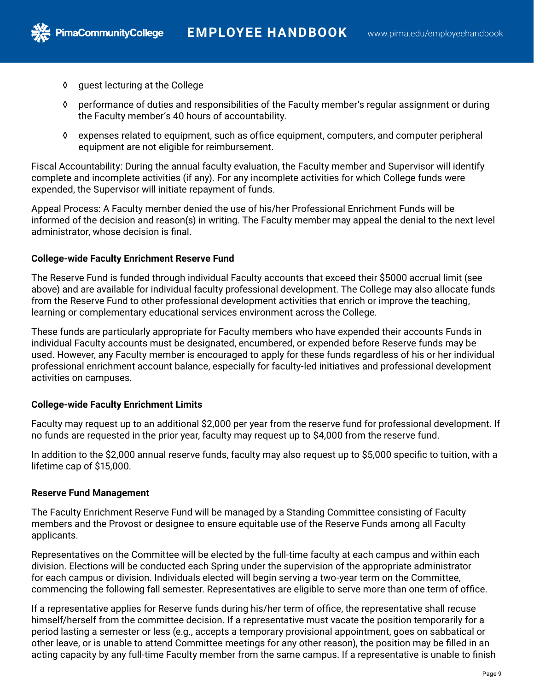◊ guest lecturing at the College

**PimaCommunityCollege** 

- ◊ performance of duties and responsibilities of the Faculty member's regular assignment or during the Faculty member's 40 hours of accountability.
- ◊ expenses related to equipment, such as office equipment, computers, and computer peripheral equipment are not eligible for reimbursement.

Fiscal Accountability: During the annual faculty evaluation, the Faculty member and Supervisor will identify complete and incomplete activities (if any). For any incomplete activities for which College funds were expended, the Supervisor will initiate repayment of funds.

Appeal Process: A Faculty member denied the use of his/her Professional Enrichment Funds will be informed of the decision and reason(s) in writing. The Faculty member may appeal the denial to the next level administrator, whose decision is final.

### **College-wide Faculty Enrichment Reserve Fund**

The Reserve Fund is funded through individual Faculty accounts that exceed their \$5000 accrual limit (see above) and are available for individual faculty professional development. The College may also allocate funds from the Reserve Fund to other professional development activities that enrich or improve the teaching, learning or complementary educational services environment across the College.

These funds are particularly appropriate for Faculty members who have expended their accounts Funds in individual Faculty accounts must be designated, encumbered, or expended before Reserve funds may be used. However, any Faculty member is encouraged to apply for these funds regardless of his or her individual professional enrichment account balance, especially for faculty-led initiatives and professional development activities on campuses.

### **College-wide Faculty Enrichment Limits**

Faculty may request up to an additional \$2,000 per year from the reserve fund for professional development. If no funds are requested in the prior year, faculty may request up to \$4,000 from the reserve fund.

In addition to the \$2,000 annual reserve funds, faculty may also request up to \$5,000 specific to tuition, with a lifetime cap of \$15,000.

### **Reserve Fund Management**

The Faculty Enrichment Reserve Fund will be managed by a Standing Committee consisting of Faculty members and the Provost or designee to ensure equitable use of the Reserve Funds among all Faculty applicants.

Representatives on the Committee will be elected by the full-time faculty at each campus and within each division. Elections will be conducted each Spring under the supervision of the appropriate administrator for each campus or division. Individuals elected will begin serving a two-year term on the Committee, commencing the following fall semester. Representatives are eligible to serve more than one term of office.

If a representative applies for Reserve funds during his/her term of office, the representative shall recuse himself/herself from the committee decision. If a representative must vacate the position temporarily for a period lasting a semester or less (e.g., accepts a temporary provisional appointment, goes on sabbatical or other leave, or is unable to attend Committee meetings for any other reason), the position may be filled in an acting capacity by any full-time Faculty member from the same campus. If a representative is unable to finish